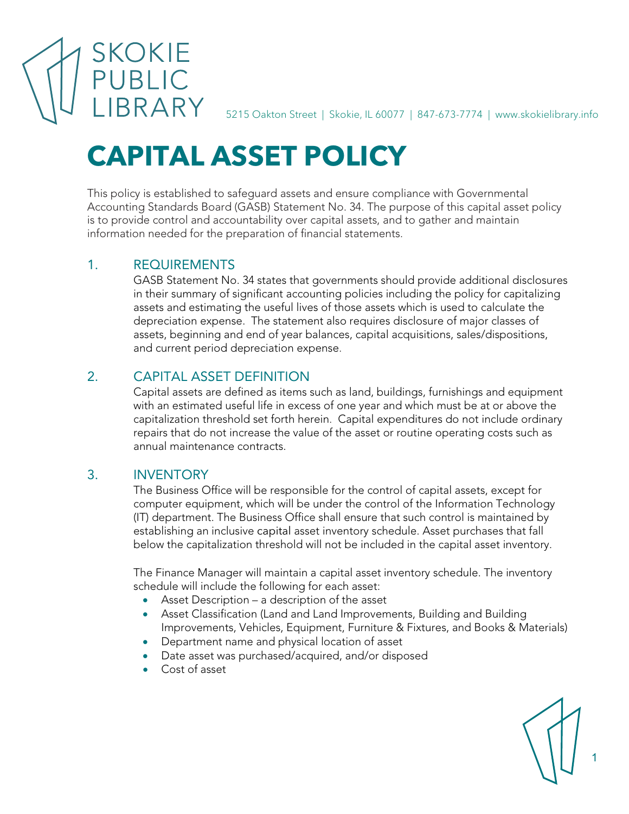SKOKIE

5215 Oakton Street | Skokie, IL 60077 | 847-673-7774 | www.skokielibrary.info

# **CAPITAL ASSET POLICY**

This policy is established to safeguard assets and ensure compliance with Governmental Accounting Standards Board (GASB) Statement No. 34. The purpose of this capital asset policy is to provide control and accountability over capital assets, and to gather and maintain information needed for the preparation of financial statements.

# 1. REQUIREMENTS

GASB Statement No. 34 states that governments should provide additional disclosures in their summary of significant accounting policies including the policy for capitalizing assets and estimating the useful lives of those assets which is used to calculate the depreciation expense. The statement also requires disclosure of major classes of assets, beginning and end of year balances, capital acquisitions, sales/dispositions, and current period depreciation expense.

# 2. CAPITAL ASSET DEFINITION

Capital assets are defined as items such as land, buildings, furnishings and equipment with an estimated useful life in excess of one year and which must be at or above the capitalization threshold set forth herein. Capital expenditures do not include ordinary repairs that do not increase the value of the asset or routine operating costs such as annual maintenance contracts.

## 3. INVENTORY

The Business Office will be responsible for the control of capital assets, except for computer equipment, which will be under the control of the Information Technology (IT) department. The Business Office shall ensure that such control is maintained by establishing an inclusive capital asset inventory schedule. Asset purchases that fall below the capitalization threshold will not be included in the capital asset inventory.

The Finance Manager will maintain a capital asset inventory schedule. The inventory schedule will include the following for each asset:

- Asset Description a description of the asset
- Asset Classification (Land and Land Improvements, Building and Building Improvements, Vehicles, Equipment, Furniture & Fixtures, and Books & Materials)
- Department name and physical location of asset
- Date asset was purchased/acquired, and/or disposed
- Cost of asset

1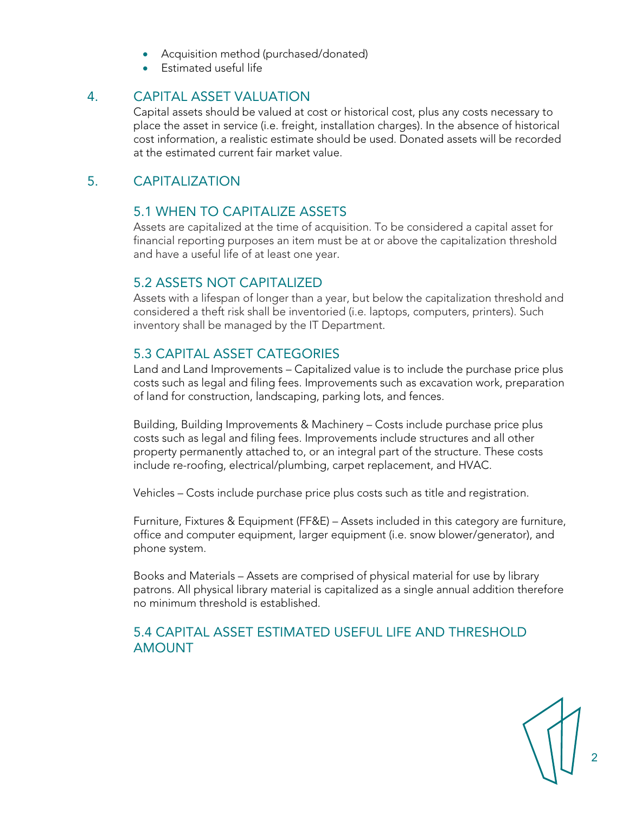- Acquisition method (purchased/donated)
- Estimated useful life

#### 4. CAPITAL ASSET VALUATION

Capital assets should be valued at cost or historical cost, plus any costs necessary to place the asset in service (i.e. freight, installation charges). In the absence of historical cost information, a realistic estimate should be used. Donated assets will be recorded at the estimated current fair market value.

### 5. CAPITALIZATION

#### 5.1 WHEN TO CAPITALIZE ASSETS

Assets are capitalized at the time of acquisition. To be considered a capital asset for financial reporting purposes an item must be at or above the capitalization threshold and have a useful life of at least one year.

#### 5.2 ASSETS NOT CAPITALIZED

Assets with a lifespan of longer than a year, but below the capitalization threshold and considered a theft risk shall be inventoried (i.e. laptops, computers, printers). Such inventory shall be managed by the IT Department.

## 5.3 CAPITAL ASSET CATEGORIES

Land and Land Improvements – Capitalized value is to include the purchase price plus costs such as legal and filing fees. Improvements such as excavation work, preparation of land for construction, landscaping, parking lots, and fences.

Building, Building Improvements & Machinery – Costs include purchase price plus costs such as legal and filing fees. Improvements include structures and all other property permanently attached to, or an integral part of the structure. These costs include re-roofing, electrical/plumbing, carpet replacement, and HVAC.

Vehicles – Costs include purchase price plus costs such as title and registration.

Furniture, Fixtures & Equipment (FF&E) – Assets included in this category are furniture, office and computer equipment, larger equipment (i.e. snow blower/generator), and phone system.

Books and Materials – Assets are comprised of physical material for use by library patrons. All physical library material is capitalized as a single annual addition therefore no minimum threshold is established.

## 5.4 CAPITAL ASSET ESTIMATED USEFUL LIFE AND THRESHOLD AMOUNT